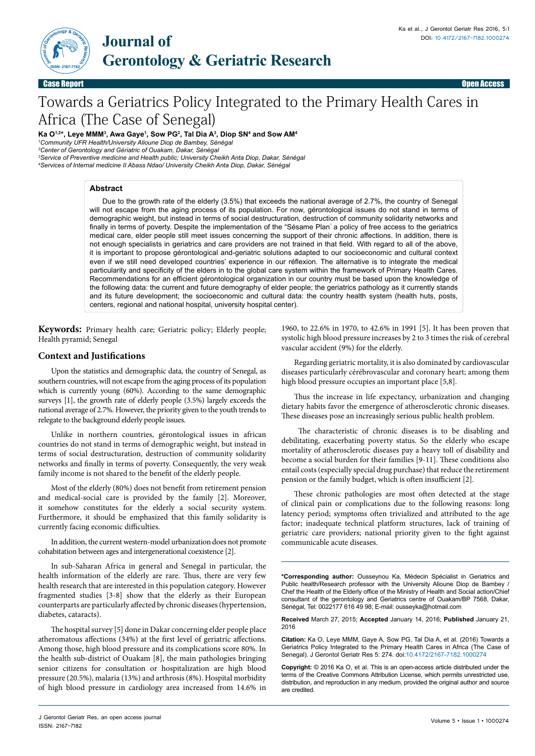

Case Report **Open Access** (2001) **Case Report of the Case Report of the Case Report of the Case Report of the Case Report of the Case Report of the Case Report of the Case Report of the Case Report of the Case Report of th** 

# Towards a Geriatrics Policy Integrated to the Primary Health Cares in Africa (The Case of Senegal)

Ka O<sup>1,2</sup>\*, Leye MMM<sup>3</sup>, Awa Gaye<sup>1</sup>, Sow PG<sup>2</sup>, Tal Dia A<sup>3</sup>, Diop SN<sup>4</sup> and Sow AM<sup>4</sup>

*1 Community UFR Health/University Alioune Diop de Bambey, Sénégal*

*2 Center of Gerontology and Gériatric of Ouakam, Dakar, Sénégal 3 Service of Preventive medicine and Health public; University Cheikh Anta Diop, Dakar, Sénégal 4 Services of Internal medicine II Abass Ndao/ University Cheikh Anta Diop, Dakar, Sénégal*

## **Abstract**

Due to the growth rate of the elderly (3.5%) that exceeds the national average of 2.7%, the country of Senegal will not escape from the aging process of its population. For now, gérontological issues do not stand in terms of demographic weight, but instead in terms of social destructuration, destruction of community solidarity networks and finally in terms of poverty. Despite the implementation of the "Sésame Plan" a policy of free access to the geriatrics medical care, elder people still meet issues concerning the support of their chronic affections. In addition, there is not enough specialists in geriatrics and care providers are not trained in that field. With regard to all of the above, it is important to propose gérontological and-geriatric solutions adapted to our socioeconomic and cultural context even if we still need developed countries' experience in our réflexion. The alternative is to integrate the medical particularity and specificity of the elders in to the global care system within the framework of Primary Health Cares. Recommendations for an efficient gérontological organization in our country must be based upon the knowledge of the following data: the current and future demography of elder people; the geriatrics pathology as it currently stands and its future development; the socioeconomic and cultural data: the country health system (health huts, posts, centers, regional and national hospital, university hospital center).

**Keywords:** Primary health care; Geriatric policy; Elderly people; Health pyramid; Senegal

# **Context and Justifications**

Upon the statistics and demographic data, the country of Senegal, as southern countries, will not escape from the aging process of its population which is currently young (60%). According to the same demographic surveys [1], the growth rate of elderly people (3.5%) largely exceeds the national average of 2.7%. However, the priority given to the youth trends to relegate to the background elderly people issues.

Unlike in northern countries, gérontological issues in african countries do not stand in terms of demographic weight, but instead in terms of social destructuration, destruction of community solidarity networks and finally in terms of poverty. Consequently, the very weak family income is not shared to the benefit of the elderly people.

Most of the elderly (80%) does not benefit from retirement pension and medical-social care is provided by the family [2]. Moreover, it somehow constitutes for the elderly a social security system. Furthermore, it should be emphasized that this family solidarity is currently facing economic difficulties.

In addition, the current western-model urbanization does not promote cohabitation between ages and intergenerational coexistence [2].

In sub-Saharan Africa in general and Senegal in particular, the health information of the elderly are rare. Thus, there are very few health research that are interested in this population category. However fragmented studies [3-8] show that the elderly as their European counterparts are particularly affected by chronic diseases (hypertension, diabetes, cataracts).

The hospital survey [5] done in Dakar concerning elder people place atheromatous affections (34%) at the first level of geriatric affections. Among those, high blood pressure and its complications score 80%. In the health sub-district of Ouakam [8], the main pathologies bringing senior citizens for consultation or hospitalization are high blood pressure (20.5%), malaria (13%) and arthrosis (8%). Hospital morbidity of high blood pressure in cardiology area increased from 14.6% in 1960, to 22.6% in 1970, to 42.6% in 1991 [5]. It has been proven that systolic high blood pressure increases by 2 to 3 times the risk of cerebral vascular accident (9%) for the elderly.

Regarding geriatric mortality, it is also dominated by cardiovascular diseases particularly cérébrovascular and coronary heart; among them high blood pressure occupies an important place [5,8].

Thus the increase in life expectancy, urbanization and changing dietary habits favor the emergence of atherosclerotic chronic diseases. These diseases pose an increasingly serious public health problem.

 The characteristic of chronic diseases is to be disabling and debilitating, exacerbating poverty status. So the elderly who escape mortality of atherosclerotic diseases pay a heavy toll of disability and become a social burden for their families [9-11]. These conditions also entail costs (especially special drug purchase) that reduce the retirement pension or the family budget, which is often insufficient [2].

These chronic pathologies are most often detected at the stage of clinical pain or complications due to the following reasons: long latency period; symptoms often trivialized and attributed to the age factor; inadequate technical platform structures, lack of training of geriatric care providers; national priority given to the fight against communicable acute diseases.

**\*Corresponding author:** Ousseynou Ka, Médecin Spécialist in Geriatrics and Public health/Research professor with the University Alioune Diop de Bambey / Chef the Health of the Elderly office of the Ministry of Health and Social action/Chief consultant of the gerontology and Geriatrics centre of Ouakam/BP 7568, Dakar, Sénégal, Tel: 0022177 616 49 98; E-mail: ousseyka@hotmail.com

**Received** March 27, 2015; **Accepted** January 14, 2016; **Published** January 21, 2016

**Citation:** Ka O, Leye MMM, Gaye A, Sow PG, Tal Dia A, et al. (2016) Towards a Geriatrics Policy Integrated to the Primary Health Cares in Africa (The Case of Senegal). J Gerontol Geriatr Res 5: 274. doi:10.4172/2167-7182.1000274

**Copyright:** © 2016 Ka O, et al. This is an open-access article distributed under the terms of the Creative Commons Attribution License, which permits unrestricted use, distribution, and reproduction in any medium, provided the original author and source are credited.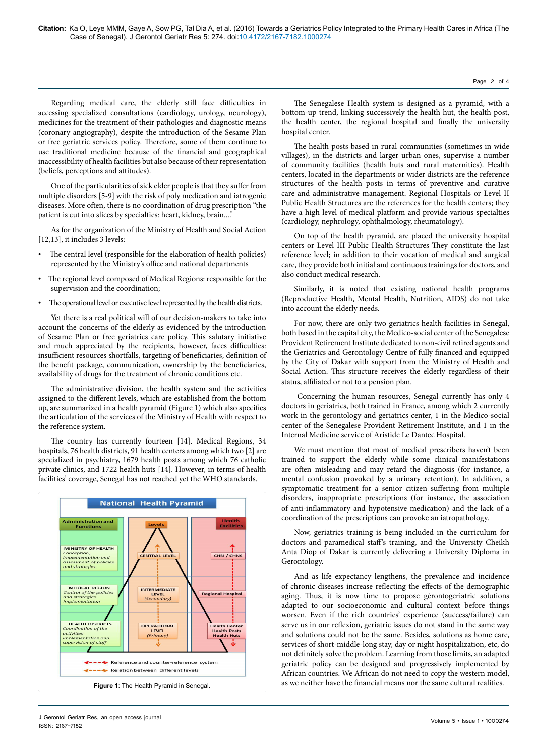Regarding medical care, the elderly still face difficulties in accessing specialized consultations (cardiology, urology, neurology), medicines for the treatment of their pathologies and diagnostic means (coronary angiography), despite the introduction of the Sesame Plan or free geriatric services policy. Therefore, some of them continue to use traditional medicine because of the financial and geographical inaccessibility of health facilities but also because of their representation (beliefs, perceptions and attitudes).

One of the particularities of sick elder people is that they suffer from multiple disorders [5-9] with the risk of poly medication and iatrogenic diseases. More often, there is no coordination of drug prescription "the patient is cut into slices by specialties: heart, kidney, brain...."

As for the organization of the Ministry of Health and Social Action [12,13], it includes 3 levels:

- The central level (responsible for the elaboration of health policies) represented by the Ministry's office and national departments
- The regional level composed of Medical Regions: responsible for the supervision and the coordination;
- The operational level or executive level represented by the health districts.

Yet there is a real political will of our decision-makers to take into account the concerns of the elderly as evidenced by the introduction of Sesame Plan or free geriatrics care policy. This salutary initiative and much appreciated by the recipients, however, faces difficulties: insufficient resources shortfalls, targeting of beneficiaries, definition of the benefit package, communication, ownership by the beneficiaries, availability of drugs for the treatment of chronic conditions etc.

The administrative division, the health system and the activities assigned to the different levels, which are established from the bottom up, are summarized in a health pyramid (Figure 1) which also specifies the articulation of the services of the Ministry of Health with respect to the reference system.

The country has currently fourteen [14]. Medical Regions, 34 hospitals, 76 health districts, 91 health centers among which two [2] are specialized in psychiatry, 1679 health posts among which 76 catholic private clinics, and 1722 health huts [14]. However, in terms of health facilities' coverage, Senegal has not reached yet the WHO standards.



The Senegalese Health system is designed as a pyramid, with a bottom-up trend, linking successively the health hut, the health post, the health center, the regional hospital and finally the university hospital center.

Page 2 of 4

The health posts based in rural communities (sometimes in wide villages), in the districts and larger urban ones, supervise a number of community facilities (health huts and rural maternities). Health centers, located in the departments or wider districts are the reference structures of the health posts in terms of preventive and curative care and administrative management. Regional Hospitals or Level II Public Health Structures are the references for the health centers; they have a high level of medical platform and provide various specialties (cardiology, nephrology, ophthalmology, rheumatology).

On top of the health pyramid, are placed the university hospital centers or Level III Public Health Structures They constitute the last reference level; in addition to their vocation of medical and surgical care, they provide both initial and continuous trainings for doctors, and also conduct medical research.

Similarly, it is noted that existing national health programs (Reproductive Health, Mental Health, Nutrition, AIDS) do not take into account the elderly needs.

For now, there are only two geriatrics health facilities in Senegal, both based in the capital city, the Medico-social center of the Senegalese Provident Retirement Institute dedicated to non-civil retired agents and the Geriatrics and Gerontology Centre of fully financed and equipped by the City of Dakar with support from the Ministry of Health and Social Action. This structure receives the elderly regardless of their status, affiliated or not to a pension plan.

 Concerning the human resources, Senegal currently has only 4 doctors in geriatrics, both trained in France, among which 2 currently work in the gerontology and geriatrics center, 1 in the Medico-social center of the Senegalese Provident Retirement Institute, and 1 in the Internal Medicine service of Aristide Le Dantec Hospital.

We must mention that most of medical prescribers haven't been trained to support the elderly while some clinical manifestations are often misleading and may retard the diagnosis (for instance, a mental confusion provoked by a urinary retention). In addition, a symptomatic treatment for a senior citizen suffering from multiple disorders, inappropriate prescriptions (for instance, the association of anti-inflammatory and hypotensive medication) and the lack of a coordination of the prescriptions can provoke an iatropathology.

Now, geriatrics training is being included in the curriculum for doctors and paramedical staff's training, and the University Cheikh Anta Diop of Dakar is currently delivering a University Diploma in Gerontology.

And as life expectancy lengthens, the prevalence and incidence of chronic diseases increase reflecting the effects of the demographic aging. Thus, it is now time to propose gérontogeriatric solutions adapted to our socioeconomic and cultural context before things worsen. Even if the rich countries' experience (success/failure) can serve us in our reflexion, geriatric issues do not stand in the same way and solutions could not be the same. Besides, solutions as home care, services of short-middle-long stay, day or night hospitalization, etc, do not definitely solve the problem. Learning from those limits, an adapted geriatric policy can be designed and progressively implemented by African countries. We African do not need to copy the western model, Figure 1: The Health Pyramid in Senegal. **Example 20** as we neither have the financial means nor the same cultural realities.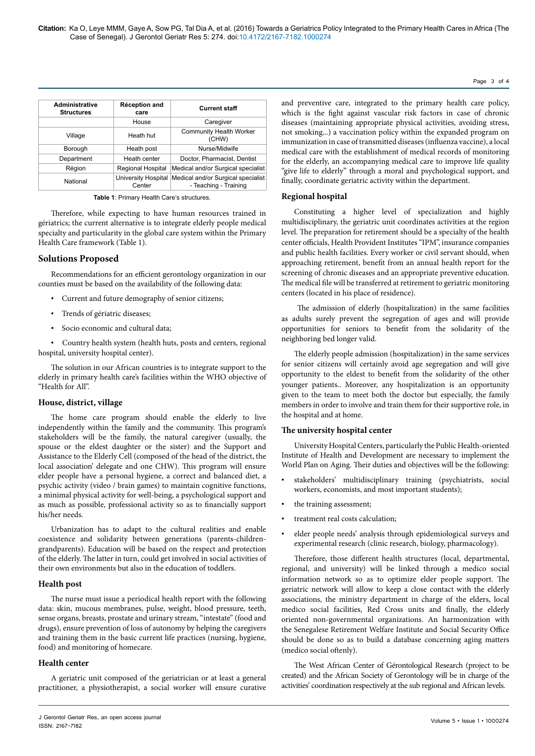| <b>Administrative</b><br><b>Structures</b> | <b>Réception and</b><br>care  | <b>Current staff</b>                                        |
|--------------------------------------------|-------------------------------|-------------------------------------------------------------|
|                                            | House                         | Caregiver                                                   |
| Village                                    | Heath hut                     | <b>Community Health Worker</b><br>(CHW)                     |
| Borough                                    | Heath post                    | Nurse/Midwife                                               |
| Department                                 | Heath center                  | Doctor, Pharmacist, Dentist                                 |
| Région                                     | <b>Regional Hospital</b>      | Medical and/or Surgical specialist                          |
| National                                   | University Hospital<br>Center | Medical and/or Surgical specialist<br>- Teaching - Training |

**Table 1**: Primary Health Care's structures.

Therefore, while expecting to have human resources trained in gériatrics; the current alternative is to integrate elderly people medical specialty and particularity in the global care system within the Primary Health Care framework (Table 1).

## **Solutions Proposed**

Recommendations for an efficient gerontology organization in our counties must be based on the availability of the following data:

- Current and future demography of senior citizens;
- Trends of gériatric diseases;
- Socio economic and cultural data;

• Country health system (health huts, posts and centers, regional hospital, university hospital center).

The solution in our African countries is to integrate support to the elderly in primary health care's facilities within the WHO objective of "Health for All".

#### **House, district, village**

The home care program should enable the elderly to live independently within the family and the community. This program's stakeholders will be the family, the natural caregiver (usually, the spouse or the eldest daughter or the sister) and the Support and Assistance to the Elderly Cell (composed of the head of the district, the local association' delegate and one CHW). This program will ensure elder people have a personal hygiene, a correct and balanced diet, a psychic activity (video / brain games) to maintain cognitive functions, a minimal physical activity for well-being, a psychological support and as much as possible, professional activity so as to financially support his/her needs.

Urbanization has to adapt to the cultural realities and enable coexistence and solidarity between generations (parents-childrengrandparents). Education will be based on the respect and protection of the elderly. The latter in turn, could get involved in social activities of their own environments but also in the education of toddlers.

#### **Health post**

The nurse must issue a periodical health report with the following data: skin, mucous membranes, pulse, weight, blood pressure, teeth, sense organs, breasts, prostate and urinary stream, "intestate" (food and drugs), ensure prevention of loss of autonomy by helping the caregivers and training them in the basic current life practices (nursing, hygiene, food) and monitoring of homecare.

## **Health center**

A geriatric unit composed of the geriatrician or at least a general practitioner, a physiotherapist, a social worker will ensure curative and preventive care, integrated to the primary health care policy, which is the fight against vascular risk factors in case of chronic diseases (maintaining appropriate physical activities, avoiding stress, not smoking...) a vaccination policy within the expanded program on immunization in case of transmitted diseases (influenza vaccine), a local medical care with the establishment of medical records of monitoring for the elderly, an accompanying medical care to improve life quality "give life to elderly" through a moral and psychological support, and finally, coordinate geriatric activity within the department.

Page 3 of 4

#### **Regional hospital**

Constituting a higher level of specialization and highly multidisciplinary, the geriatric unit coordinates activities at the region level. The preparation for retirement should be a specialty of the health center officials, Health Provident Institutes "IPM", insurance companies and public health facilities. Every worker or civil servant should, when approaching retirement, benefit from an annual health report for the screening of chronic diseases and an appropriate preventive education. The medical file will be transferred at retirement to geriatric monitoring centers (located in his place of residence).

 The admission of elderly (hospitalization) in the same facilities as adults surely prevent the segregation of ages and will provide opportunities for seniors to benefit from the solidarity of the neighboring bed longer valid.

The elderly people admission (hospitalization) in the same services for senior citizens will certainly avoid age segregation and will give opportunity to the eldest to benefit from the solidarity of the other younger patients.. Moreover, any hospitalization is an opportunity given to the team to meet both the doctor but especially, the family members in order to involve and train them for their supportive role, in the hospital and at home.

### **The university hospital center**

University Hospital Centers, particularly the Public Health-oriented Institute of Health and Development are necessary to implement the World Plan on Aging. Their duties and objectives will be the following:

- stakeholders' multidisciplinary training (psychiatrists, social workers, economists, and most important students);
- the training assessment;
- treatment real costs calculation;
- elder people needs' analysis through epidemiological surveys and experimental research (clinic research, biology, pharmacology).

Therefore, those different health structures (local, departmental, regional, and university) will be linked through a medico social information network so as to optimize elder people support. The geriatric network will allow to keep a close contact with the elderly associations, the ministry department in charge of the elders, local medico social facilities, Red Cross units and finally, the elderly oriented non-governmental organizations. An harmonization with the Senegalese Retirement Welfare Institute and Social Security Office should be done so as to build a database concerning aging matters (medico social oftenly).

The West African Center of Gérontological Research (project to be created) and the African Society of Gerontology will be in charge of the activities' coordination respectively at the sub regional and African levels.